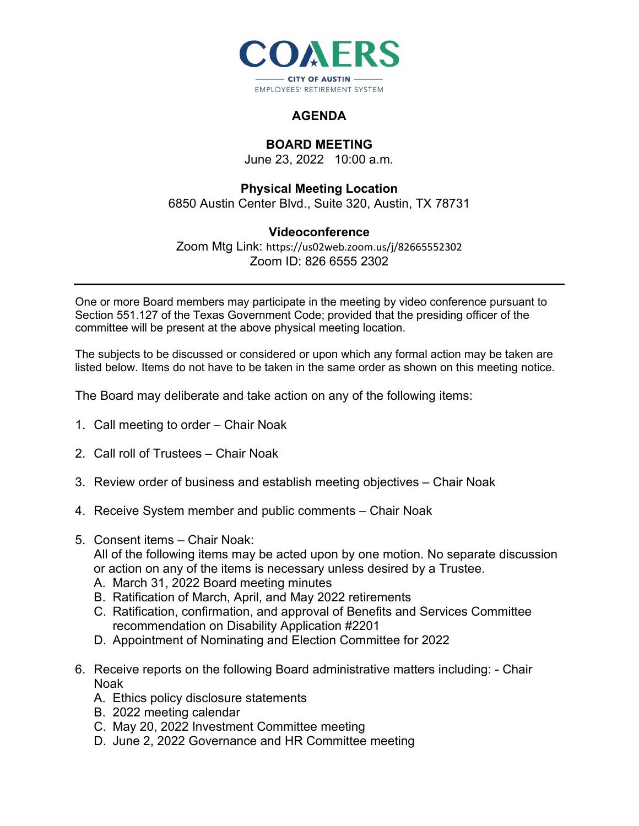

## **AGENDA**

## **BOARD MEETING**

June 23, 2022 10:00 a.m.

## **Physical Meeting Location**

6850 Austin Center Blvd., Suite 320, Austin, TX 78731

## **Videoconference**

Zoom Mtg Link: https://us02web.zoom.us/j/82665552302 Zoom ID: 826 6555 2302

One or more Board members may participate in the meeting by video conference pursuant to Section 551.127 of the Texas Government Code; provided that the presiding officer of the committee will be present at the above physical meeting location.

The subjects to be discussed or considered or upon which any formal action may be taken are listed below. Items do not have to be taken in the same order as shown on this meeting notice.

The Board may deliberate and take action on any of the following items:

- 1. Call meeting to order Chair Noak
- 2. Call roll of Trustees Chair Noak
- 3. Review order of business and establish meeting objectives Chair Noak
- 4. Receive System member and public comments Chair Noak
- 5. Consent items Chair Noak:

All of the following items may be acted upon by one motion. No separate discussion or action on any of the items is necessary unless desired by a Trustee.

- A. March 31, 2022 Board meeting minutes
- B. Ratification of March, April, and May 2022 retirements
- C. Ratification, confirmation, and approval of Benefits and Services Committee recommendation on Disability Application #2201
- D. Appointment of Nominating and Election Committee for 2022
- 6. Receive reports on the following Board administrative matters including: Chair Noak
	- A. Ethics policy disclosure statements
	- B. 2022 meeting calendar
	- C. May 20, 2022 Investment Committee meeting
	- D. June 2, 2022 Governance and HR Committee meeting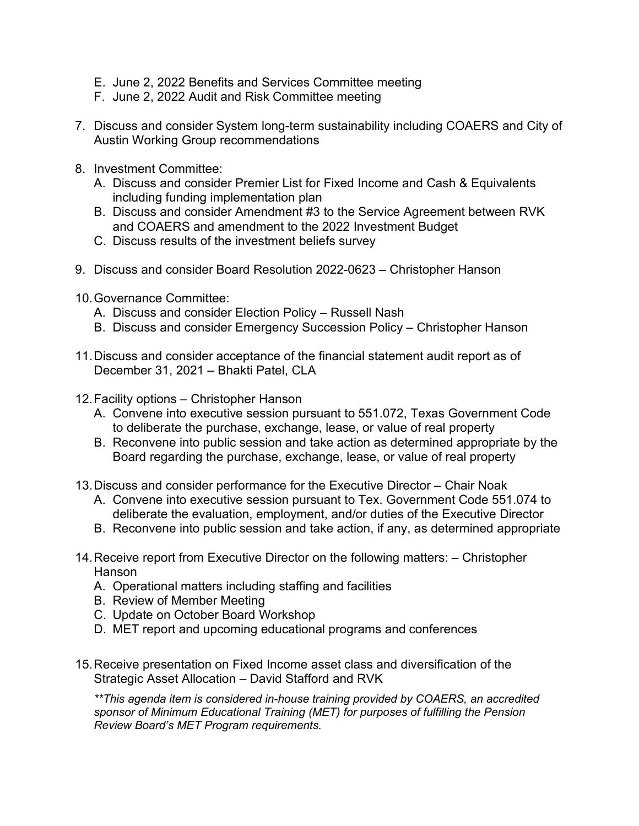- E. June 2, 2022 Benefits and Services Committee meeting
- F. June 2, 2022 Audit and Risk Committee meeting
- 7. Discuss and consider System long-term sustainability including COAERS and City of Austin Working Group recommendations
- 8. Investment Committee:
	- A. Discuss and consider Premier List for Fixed Income and Cash & Equivalents including funding implementation plan
	- B. Discuss and consider Amendment #3 to the Service Agreement between RVK and COAERS and amendment to the 2022 Investment Budget
	- C. Discuss results of the investment beliefs survey
- 9. Discuss and consider Board Resolution 2022-0623 Christopher Hanson
- 10.Governance Committee:
	- A. Discuss and consider Election Policy Russell Nash
	- B. Discuss and consider Emergency Succession Policy Christopher Hanson
- 11.Discuss and consider acceptance of the financial statement audit report as of December 31, 2021 – Bhakti Patel, CLA
- 12.Facility options Christopher Hanson
	- A. Convene into executive session pursuant to 551.072, Texas Government Code to deliberate the purchase, exchange, lease, or value of real property
	- B. Reconvene into public session and take action as determined appropriate by the Board regarding the purchase, exchange, lease, or value of real property
- 13.Discuss and consider performance for the Executive Director Chair Noak
	- A. Convene into executive session pursuant to Tex. Government Code 551.074 to deliberate the evaluation, employment, and/or duties of the Executive Director
	- B. Reconvene into public session and take action, if any, as determined appropriate
- 14.Receive report from Executive Director on the following matters: Christopher Hanson
	- A. Operational matters including staffing and facilities
	- B. Review of Member Meeting
	- C. Update on October Board Workshop
	- D. MET report and upcoming educational programs and conferences
- 15.Receive presentation on Fixed Income asset class and diversification of the Strategic Asset Allocation – David Stafford and RVK

*\*\*This agenda item is considered in-house training provided by COAERS, an accredited sponsor of Minimum Educational Training (MET) for purposes of fulfilling the Pension Review Board's MET Program requirements.*